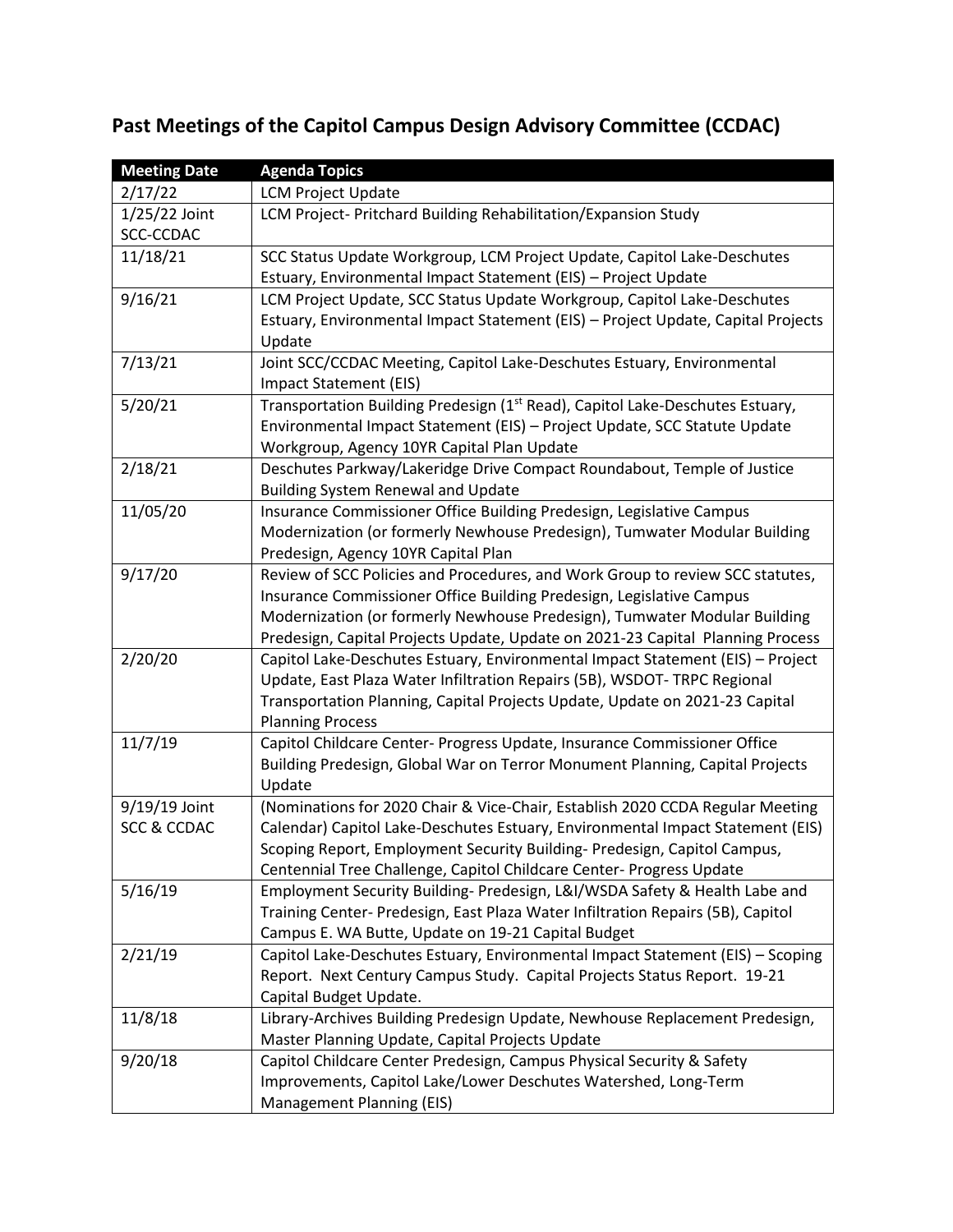## **Past Meetings of the Capitol Campus Design Advisory Committee (CCDAC)**

| <b>Meeting Date</b>    | <b>Agenda Topics</b>                                                                      |
|------------------------|-------------------------------------------------------------------------------------------|
| 2/17/22                | <b>LCM Project Update</b>                                                                 |
| $1/25/22$ Joint        | LCM Project- Pritchard Building Rehabilitation/Expansion Study                            |
| SCC-CCDAC              |                                                                                           |
| 11/18/21               | SCC Status Update Workgroup, LCM Project Update, Capitol Lake-Deschutes                   |
|                        | Estuary, Environmental Impact Statement (EIS) - Project Update                            |
| 9/16/21                | LCM Project Update, SCC Status Update Workgroup, Capitol Lake-Deschutes                   |
|                        | Estuary, Environmental Impact Statement (EIS) - Project Update, Capital Projects          |
|                        | Update                                                                                    |
| 7/13/21                | Joint SCC/CCDAC Meeting, Capitol Lake-Deschutes Estuary, Environmental                    |
|                        | Impact Statement (EIS)                                                                    |
| 5/20/21                | Transportation Building Predesign (1 <sup>st</sup> Read), Capitol Lake-Deschutes Estuary, |
|                        | Environmental Impact Statement (EIS) - Project Update, SCC Statute Update                 |
|                        | Workgroup, Agency 10YR Capital Plan Update                                                |
| 2/18/21                | Deschutes Parkway/Lakeridge Drive Compact Roundabout, Temple of Justice                   |
|                        | <b>Building System Renewal and Update</b>                                                 |
| 11/05/20               | Insurance Commissioner Office Building Predesign, Legislative Campus                      |
|                        | Modernization (or formerly Newhouse Predesign), Tumwater Modular Building                 |
|                        | Predesign, Agency 10YR Capital Plan                                                       |
| 9/17/20                | Review of SCC Policies and Procedures, and Work Group to review SCC statutes,             |
|                        | Insurance Commissioner Office Building Predesign, Legislative Campus                      |
|                        | Modernization (or formerly Newhouse Predesign), Tumwater Modular Building                 |
|                        | Predesign, Capital Projects Update, Update on 2021-23 Capital Planning Process            |
| 2/20/20                | Capitol Lake-Deschutes Estuary, Environmental Impact Statement (EIS) - Project            |
|                        | Update, East Plaza Water Infiltration Repairs (5B), WSDOT- TRPC Regional                  |
|                        | Transportation Planning, Capital Projects Update, Update on 2021-23 Capital               |
|                        | <b>Planning Process</b>                                                                   |
| 11/7/19                | Capitol Childcare Center- Progress Update, Insurance Commissioner Office                  |
|                        | Building Predesign, Global War on Terror Monument Planning, Capital Projects              |
|                        | Update                                                                                    |
| 9/19/19 Joint          | (Nominations for 2020 Chair & Vice-Chair, Establish 2020 CCDA Regular Meeting             |
| <b>SCC &amp; CCDAC</b> | Calendar) Capitol Lake-Deschutes Estuary, Environmental Impact Statement (EIS)            |
|                        | Scoping Report, Employment Security Building-Predesign, Capitol Campus,                   |
|                        | Centennial Tree Challenge, Capitol Childcare Center- Progress Update                      |
| 5/16/19                | Employment Security Building- Predesign, L&I/WSDA Safety & Health Labe and                |
|                        | Training Center- Predesign, East Plaza Water Infiltration Repairs (5B), Capitol           |
|                        | Campus E. WA Butte, Update on 19-21 Capital Budget                                        |
| 2/21/19                | Capitol Lake-Deschutes Estuary, Environmental Impact Statement (EIS) - Scoping            |
|                        | Report. Next Century Campus Study. Capital Projects Status Report. 19-21                  |
|                        | Capital Budget Update.                                                                    |
| 11/8/18                | Library-Archives Building Predesign Update, Newhouse Replacement Predesign,               |
|                        | Master Planning Update, Capital Projects Update                                           |
| 9/20/18                | Capitol Childcare Center Predesign, Campus Physical Security & Safety                     |
|                        | Improvements, Capitol Lake/Lower Deschutes Watershed, Long-Term                           |
|                        | Management Planning (EIS)                                                                 |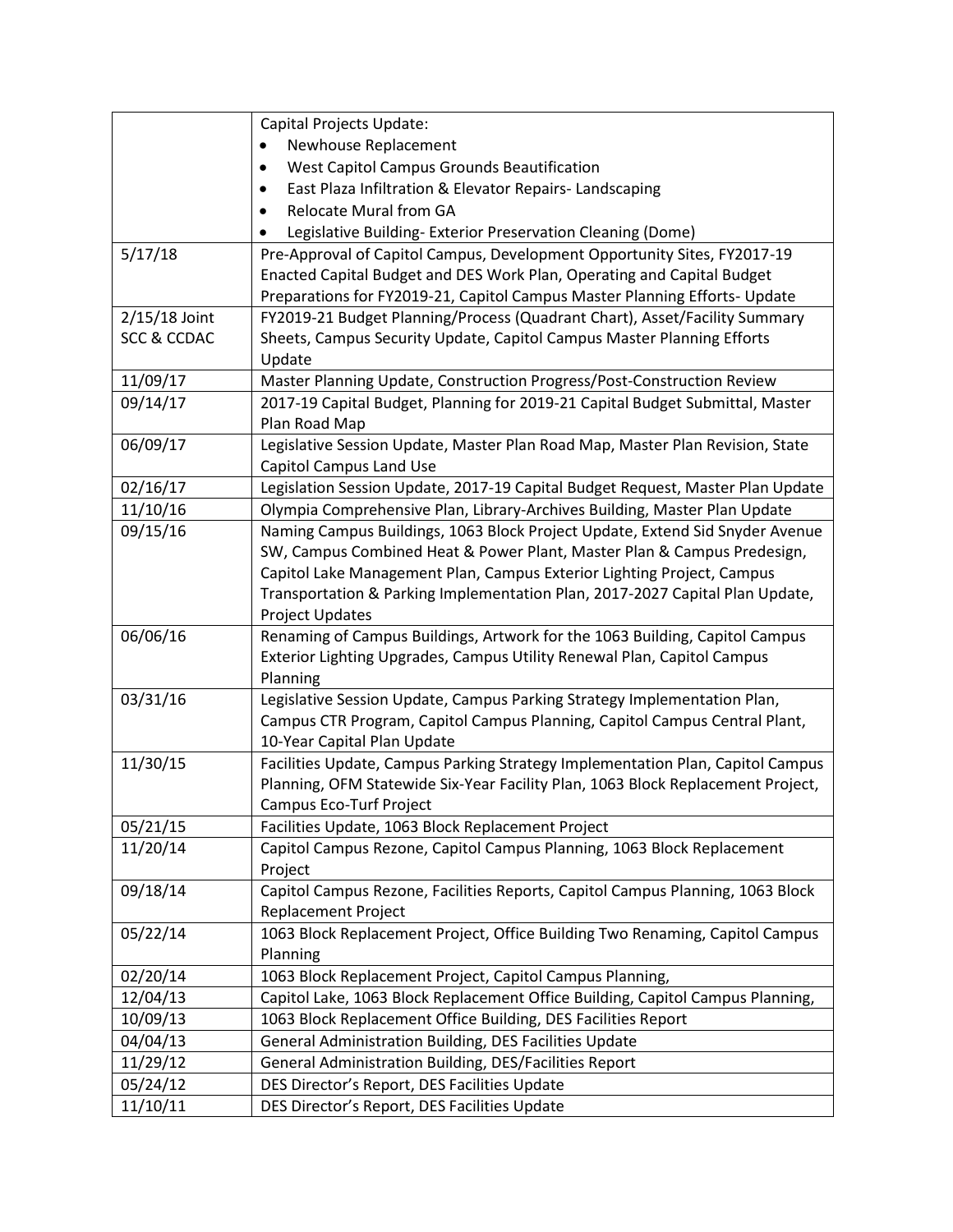|                        | Capital Projects Update:                                                        |
|------------------------|---------------------------------------------------------------------------------|
|                        | Newhouse Replacement                                                            |
|                        | West Capitol Campus Grounds Beautification<br>٠                                 |
|                        | East Plaza Infiltration & Elevator Repairs-Landscaping<br>٠                     |
|                        | <b>Relocate Mural from GA</b><br>$\bullet$                                      |
|                        | Legislative Building- Exterior Preservation Cleaning (Dome)                     |
| 5/17/18                | Pre-Approval of Capitol Campus, Development Opportunity Sites, FY2017-19        |
|                        | Enacted Capital Budget and DES Work Plan, Operating and Capital Budget          |
|                        | Preparations for FY2019-21, Capitol Campus Master Planning Efforts- Update      |
| 2/15/18 Joint          | FY2019-21 Budget Planning/Process (Quadrant Chart), Asset/Facility Summary      |
| <b>SCC &amp; CCDAC</b> | Sheets, Campus Security Update, Capitol Campus Master Planning Efforts          |
|                        | Update                                                                          |
| 11/09/17               | Master Planning Update, Construction Progress/Post-Construction Review          |
| 09/14/17               | 2017-19 Capital Budget, Planning for 2019-21 Capital Budget Submittal, Master   |
|                        | Plan Road Map                                                                   |
| 06/09/17               | Legislative Session Update, Master Plan Road Map, Master Plan Revision, State   |
|                        | <b>Capitol Campus Land Use</b>                                                  |
| 02/16/17               | Legislation Session Update, 2017-19 Capital Budget Request, Master Plan Update  |
| 11/10/16               | Olympia Comprehensive Plan, Library-Archives Building, Master Plan Update       |
| 09/15/16               | Naming Campus Buildings, 1063 Block Project Update, Extend Sid Snyder Avenue    |
|                        | SW, Campus Combined Heat & Power Plant, Master Plan & Campus Predesign,         |
|                        | Capitol Lake Management Plan, Campus Exterior Lighting Project, Campus          |
|                        | Transportation & Parking Implementation Plan, 2017-2027 Capital Plan Update,    |
|                        | <b>Project Updates</b>                                                          |
| 06/06/16               | Renaming of Campus Buildings, Artwork for the 1063 Building, Capitol Campus     |
|                        | Exterior Lighting Upgrades, Campus Utility Renewal Plan, Capitol Campus         |
|                        | Planning                                                                        |
| 03/31/16               | Legislative Session Update, Campus Parking Strategy Implementation Plan,        |
|                        | Campus CTR Program, Capitol Campus Planning, Capitol Campus Central Plant,      |
|                        | 10-Year Capital Plan Update                                                     |
| 11/30/15               | Facilities Update, Campus Parking Strategy Implementation Plan, Capitol Campus  |
|                        | Planning, OFM Statewide Six-Year Facility Plan, 1063 Block Replacement Project, |
|                        | <b>Campus Eco-Turf Project</b>                                                  |
| 05/21/15               | Facilities Update, 1063 Block Replacement Project                               |
| 11/20/14               | Capitol Campus Rezone, Capitol Campus Planning, 1063 Block Replacement          |
|                        | Project                                                                         |
| 09/18/14               | Capitol Campus Rezone, Facilities Reports, Capitol Campus Planning, 1063 Block  |
|                        | Replacement Project                                                             |
| 05/22/14               | 1063 Block Replacement Project, Office Building Two Renaming, Capitol Campus    |
|                        | Planning                                                                        |
| 02/20/14               | 1063 Block Replacement Project, Capitol Campus Planning,                        |
| 12/04/13               | Capitol Lake, 1063 Block Replacement Office Building, Capitol Campus Planning,  |
| 10/09/13               | 1063 Block Replacement Office Building, DES Facilities Report                   |
| 04/04/13               | General Administration Building, DES Facilities Update                          |
| 11/29/12               | General Administration Building, DES/Facilities Report                          |
| 05/24/12               | DES Director's Report, DES Facilities Update                                    |
| 11/10/11               | DES Director's Report, DES Facilities Update                                    |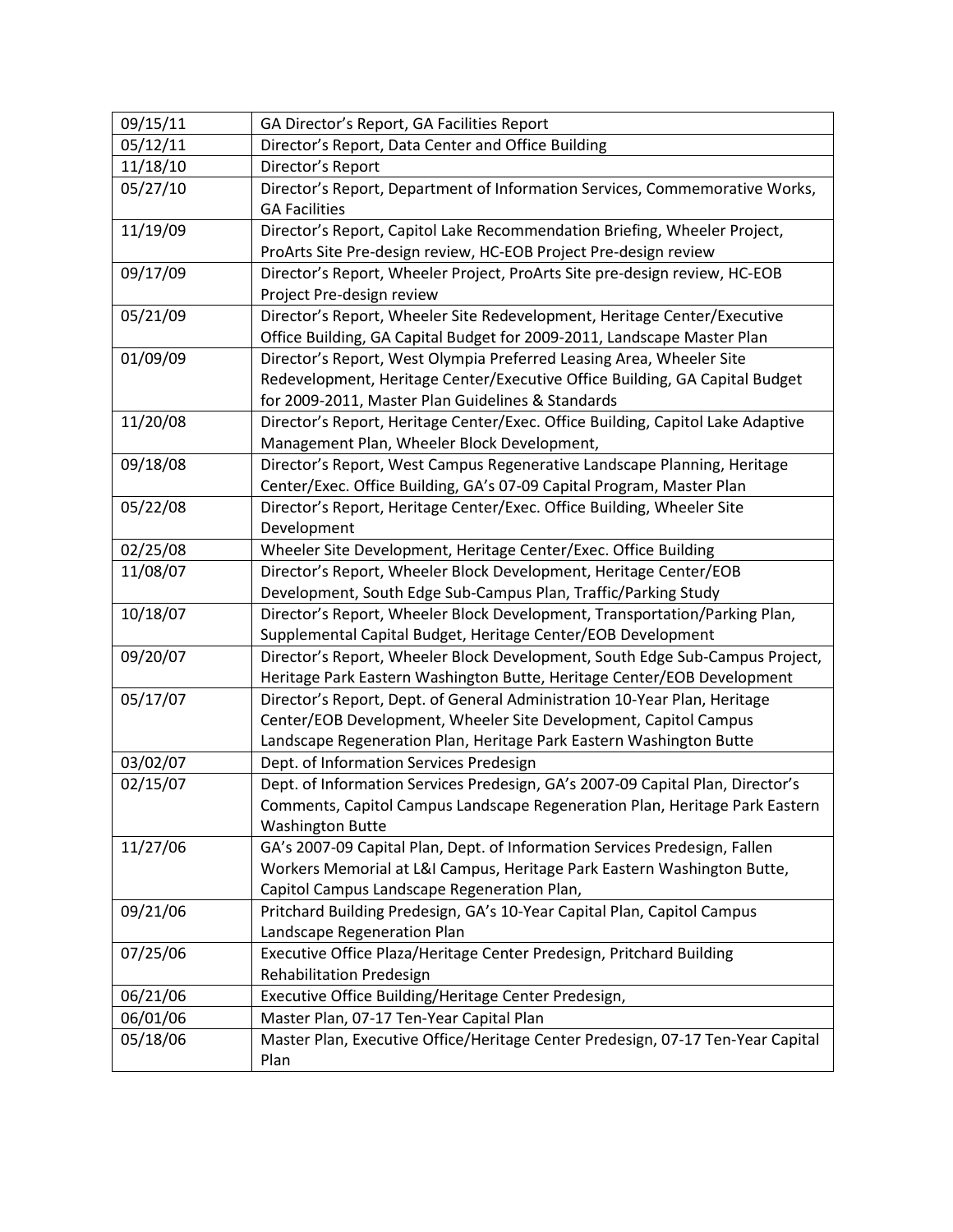| 09/15/11 | GA Director's Report, GA Facilities Report                                                                                                                                                                           |
|----------|----------------------------------------------------------------------------------------------------------------------------------------------------------------------------------------------------------------------|
| 05/12/11 | Director's Report, Data Center and Office Building                                                                                                                                                                   |
| 11/18/10 | Director's Report                                                                                                                                                                                                    |
| 05/27/10 | Director's Report, Department of Information Services, Commemorative Works,<br><b>GA Facilities</b>                                                                                                                  |
| 11/19/09 | Director's Report, Capitol Lake Recommendation Briefing, Wheeler Project,                                                                                                                                            |
|          | ProArts Site Pre-design review, HC-EOB Project Pre-design review                                                                                                                                                     |
| 09/17/09 | Director's Report, Wheeler Project, ProArts Site pre-design review, HC-EOB<br>Project Pre-design review                                                                                                              |
| 05/21/09 | Director's Report, Wheeler Site Redevelopment, Heritage Center/Executive<br>Office Building, GA Capital Budget for 2009-2011, Landscape Master Plan                                                                  |
| 01/09/09 | Director's Report, West Olympia Preferred Leasing Area, Wheeler Site<br>Redevelopment, Heritage Center/Executive Office Building, GA Capital Budget<br>for 2009-2011, Master Plan Guidelines & Standards             |
| 11/20/08 | Director's Report, Heritage Center/Exec. Office Building, Capitol Lake Adaptive<br>Management Plan, Wheeler Block Development,                                                                                       |
| 09/18/08 | Director's Report, West Campus Regenerative Landscape Planning, Heritage<br>Center/Exec. Office Building, GA's 07-09 Capital Program, Master Plan                                                                    |
| 05/22/08 | Director's Report, Heritage Center/Exec. Office Building, Wheeler Site<br>Development                                                                                                                                |
| 02/25/08 | Wheeler Site Development, Heritage Center/Exec. Office Building                                                                                                                                                      |
| 11/08/07 | Director's Report, Wheeler Block Development, Heritage Center/EOB<br>Development, South Edge Sub-Campus Plan, Traffic/Parking Study                                                                                  |
| 10/18/07 | Director's Report, Wheeler Block Development, Transportation/Parking Plan,<br>Supplemental Capital Budget, Heritage Center/EOB Development                                                                           |
| 09/20/07 | Director's Report, Wheeler Block Development, South Edge Sub-Campus Project,<br>Heritage Park Eastern Washington Butte, Heritage Center/EOB Development                                                              |
| 05/17/07 | Director's Report, Dept. of General Administration 10-Year Plan, Heritage<br>Center/EOB Development, Wheeler Site Development, Capitol Campus<br>Landscape Regeneration Plan, Heritage Park Eastern Washington Butte |
| 03/02/07 | Dept. of Information Services Predesign                                                                                                                                                                              |
| 02/15/07 | Dept. of Information Services Predesign, GA's 2007-09 Capital Plan, Director's<br>Comments, Capitol Campus Landscape Regeneration Plan, Heritage Park Eastern<br><b>Washington Butte</b>                             |
| 11/27/06 | GA's 2007-09 Capital Plan, Dept. of Information Services Predesign, Fallen<br>Workers Memorial at L&I Campus, Heritage Park Eastern Washington Butte,<br>Capitol Campus Landscape Regeneration Plan,                 |
| 09/21/06 | Pritchard Building Predesign, GA's 10-Year Capital Plan, Capitol Campus<br>Landscape Regeneration Plan                                                                                                               |
| 07/25/06 | Executive Office Plaza/Heritage Center Predesign, Pritchard Building<br><b>Rehabilitation Predesign</b>                                                                                                              |
| 06/21/06 | Executive Office Building/Heritage Center Predesign,                                                                                                                                                                 |
| 06/01/06 | Master Plan, 07-17 Ten-Year Capital Plan                                                                                                                                                                             |
| 05/18/06 | Master Plan, Executive Office/Heritage Center Predesign, 07-17 Ten-Year Capital<br>Plan                                                                                                                              |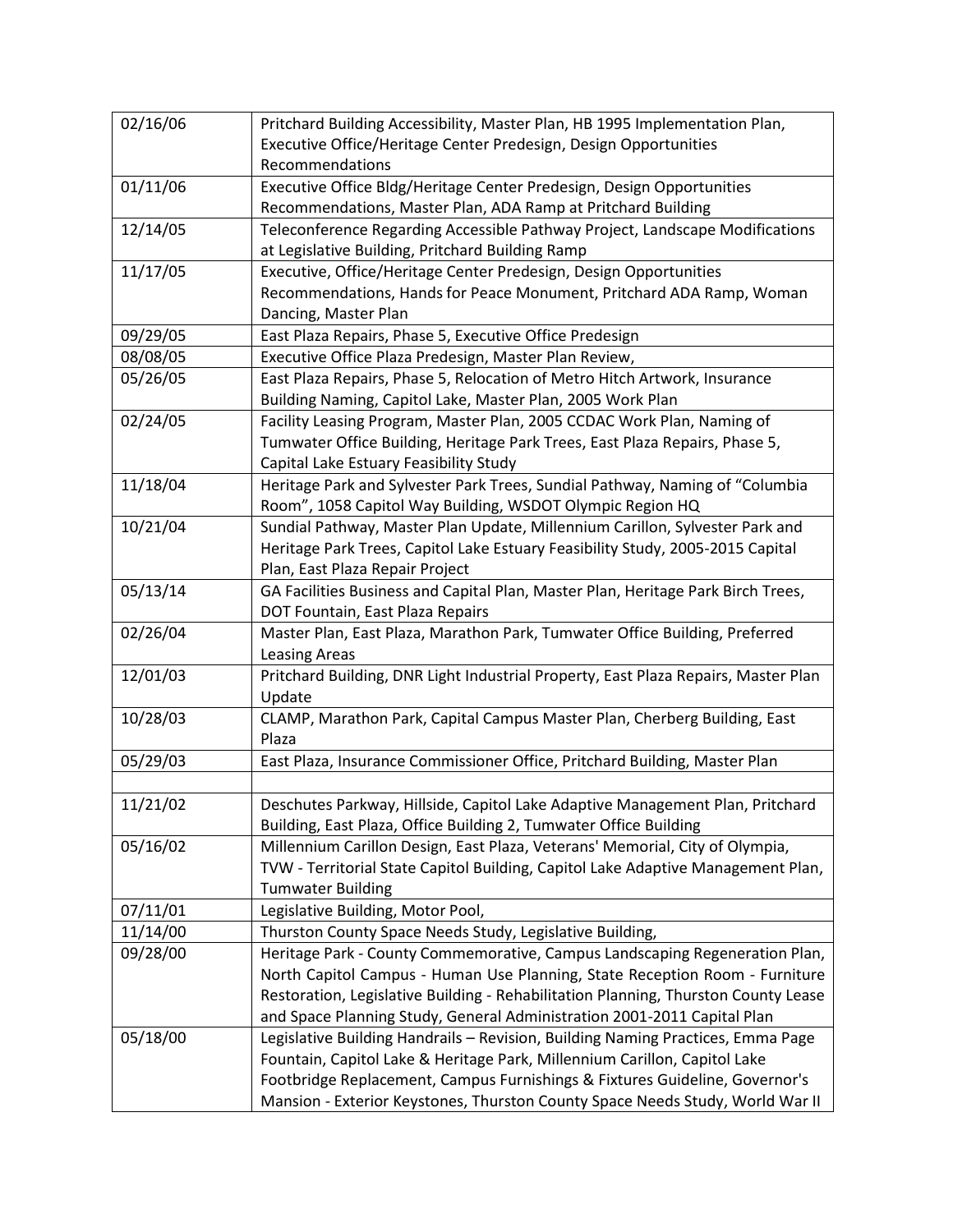| 02/16/06 | Pritchard Building Accessibility, Master Plan, HB 1995 Implementation Plan,        |
|----------|------------------------------------------------------------------------------------|
|          | Executive Office/Heritage Center Predesign, Design Opportunities                   |
|          | Recommendations                                                                    |
| 01/11/06 | Executive Office Bldg/Heritage Center Predesign, Design Opportunities              |
|          | Recommendations, Master Plan, ADA Ramp at Pritchard Building                       |
| 12/14/05 | Teleconference Regarding Accessible Pathway Project, Landscape Modifications       |
|          | at Legislative Building, Pritchard Building Ramp                                   |
| 11/17/05 | Executive, Office/Heritage Center Predesign, Design Opportunities                  |
|          | Recommendations, Hands for Peace Monument, Pritchard ADA Ramp, Woman               |
|          | Dancing, Master Plan                                                               |
| 09/29/05 | East Plaza Repairs, Phase 5, Executive Office Predesign                            |
| 08/08/05 | Executive Office Plaza Predesign, Master Plan Review,                              |
| 05/26/05 | East Plaza Repairs, Phase 5, Relocation of Metro Hitch Artwork, Insurance          |
|          | Building Naming, Capitol Lake, Master Plan, 2005 Work Plan                         |
| 02/24/05 | Facility Leasing Program, Master Plan, 2005 CCDAC Work Plan, Naming of             |
|          | Tumwater Office Building, Heritage Park Trees, East Plaza Repairs, Phase 5,        |
|          | Capital Lake Estuary Feasibility Study                                             |
| 11/18/04 | Heritage Park and Sylvester Park Trees, Sundial Pathway, Naming of "Columbia       |
|          | Room", 1058 Capitol Way Building, WSDOT Olympic Region HQ                          |
| 10/21/04 | Sundial Pathway, Master Plan Update, Millennium Carillon, Sylvester Park and       |
|          | Heritage Park Trees, Capitol Lake Estuary Feasibility Study, 2005-2015 Capital     |
|          | Plan, East Plaza Repair Project                                                    |
| 05/13/14 | GA Facilities Business and Capital Plan, Master Plan, Heritage Park Birch Trees,   |
|          | DOT Fountain, East Plaza Repairs                                                   |
| 02/26/04 | Master Plan, East Plaza, Marathon Park, Tumwater Office Building, Preferred        |
|          | <b>Leasing Areas</b>                                                               |
| 12/01/03 | Pritchard Building, DNR Light Industrial Property, East Plaza Repairs, Master Plan |
|          | Update                                                                             |
| 10/28/03 | CLAMP, Marathon Park, Capital Campus Master Plan, Cherberg Building, East          |
|          | Plaza                                                                              |
| 05/29/03 | East Plaza, Insurance Commissioner Office, Pritchard Building, Master Plan         |
|          |                                                                                    |
| 11/21/02 | Deschutes Parkway, Hillside, Capitol Lake Adaptive Management Plan, Pritchard      |
|          | Building, East Plaza, Office Building 2, Tumwater Office Building                  |
| 05/16/02 | Millennium Carillon Design, East Plaza, Veterans' Memorial, City of Olympia,       |
|          | TVW - Territorial State Capitol Building, Capitol Lake Adaptive Management Plan,   |
|          | <b>Tumwater Building</b>                                                           |
| 07/11/01 | Legislative Building, Motor Pool,                                                  |
| 11/14/00 | Thurston County Space Needs Study, Legislative Building,                           |
| 09/28/00 | Heritage Park - County Commemorative, Campus Landscaping Regeneration Plan,        |
|          | North Capitol Campus - Human Use Planning, State Reception Room - Furniture        |
|          | Restoration, Legislative Building - Rehabilitation Planning, Thurston County Lease |
|          | and Space Planning Study, General Administration 2001-2011 Capital Plan            |
| 05/18/00 | Legislative Building Handrails - Revision, Building Naming Practices, Emma Page    |
|          | Fountain, Capitol Lake & Heritage Park, Millennium Carillon, Capitol Lake          |
|          | Footbridge Replacement, Campus Furnishings & Fixtures Guideline, Governor's        |
|          | Mansion - Exterior Keystones, Thurston County Space Needs Study, World War II      |